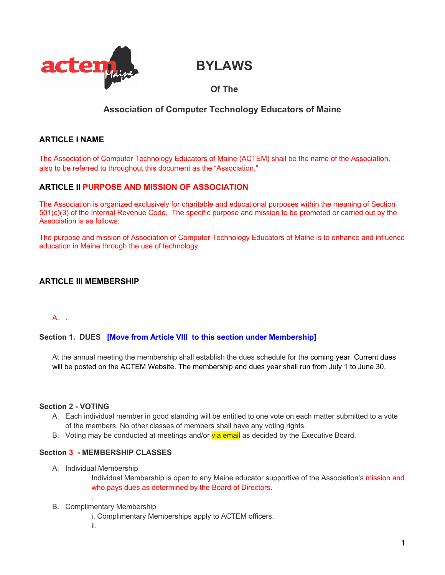

# **BYLAWS**

# **Of The**

## **Association of Computer Technology Educators of Maine**

## **ARTICLE I NAME**

The Association of Computer Technology Educators of Maine (ACTEM) shall be the name of the Association, also to be referred to throughout this document as the "Association."

## **ARTICLE II PURPOSE AND MISSION OF ASSOCIATION**

The Association is organized exclusively for charitable and educational purposes within the meaning of Section 501(c)(3) of the Internal Revenue Code. The specific purpose and mission to be promoted or carried out by the Association is as follows:

The purpose and mission of Association of Computer Technology Educators of Maine is to enhance and influence education in Maine through the use of technology.

## **ARTICLE III MEMBERSHIP**

## A. .

#### **Section 1. DUES [Move from Article VIII to this section under Membership]**

At the annual meeting the membership shall establish the dues schedule for the coming year. Current dues will be posted on the ACTEM Website. The membership and dues year shall run from July 1 to June 30.

## **Section 2 - VOTING**

- A. Each individual member in good standing will be entitled to one vote on each matter submitted to a vote of the members. No other classes of members shall have any voting rights.
- B. Voting may be conducted at meetings and/or via email as decided by the Executive Board.

#### **Section 3 - MEMBERSHIP CLASSES**

A. Individual Membership

Individual Membership is open to any Maine educator supportive of the Association's mission and who pays dues as determined by the Board of Directors.

#### B. Complimentary Membership

i. Complimentary Memberships apply to ACTEM officers.

ii.

.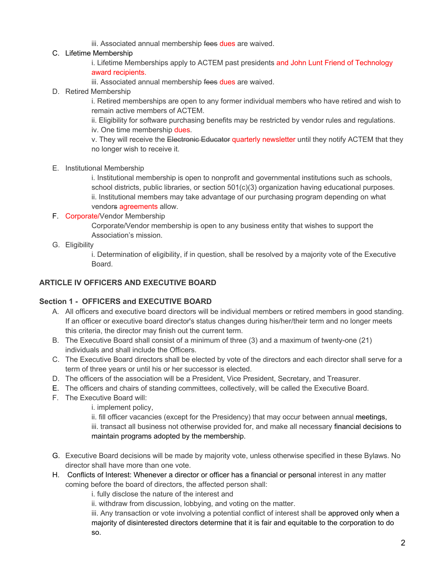iii. Associated annual membership fees dues are waived.

## C. Lifetime Membership

i. Lifetime Memberships apply to ACTEM past presidents and John Lunt Friend of Technology award recipients.

iii. Associated annual membership fees dues are waived.

D. Retired Membership

i. Retired memberships are open to any former individual members who have retired and wish to remain active members of ACTEM.

ii. Eligibility for software purchasing benefits may be restricted by vendor rules and regulations. iv. One time membership dues.

v. They will receive the Electronic Educator quarterly newsletter until they notify ACTEM that they no longer wish to receive it.

E. Institutional Membership

i. Institutional membership is open to nonprofit and governmental institutions such as schools, school districts, public libraries, or section 501(c)(3) organization having educational purposes. ii. Institutional members may take advantage of our purchasing program depending on what vendors agreements allow.

#### F. Corporate/Vendor Membership

Corporate/Vendor membership is open to any business entity that wishes to support the Association's mission.

G. Eligibility

i. Determination of eligibility, if in question, shall be resolved by a majority vote of the Executive Board.

#### **ARTICLE IV OFFICERS AND EXECUTIVE BOARD**

## **Section 1 - OFFICERS and EXECUTIVE BOARD**

- A. All officers and executive board directors will be individual members or retired members in good standing. If an officer or executive board director's status changes during his/her/their term and no longer meets this criteria, the director may finish out the current term.
- B. The Executive Board shall consist of a minimum of three (3) and a maximum of twenty-one (21) individuals and shall include the Officers.
- C. The Executive Board directors shall be elected by vote of the directors and each director shall serve for a term of three years or until his or her successor is elected.
- D. The officers of the association will be a President, Vice President, Secretary, and Treasurer.
- E. The officers and chairs of standing committees, collectively, will be called the Executive Board.
- F. The Executive Board will:
	- i. implement policy,
	- ii. fill officer vacancies (except for the Presidency) that may occur between annual meetings,

iii. transact all business not otherwise provided for, and make all necessary financial decisions to maintain programs adopted by the membership.

- G. Executive Board decisions will be made by majority vote, unless otherwise specified in these Bylaws. No director shall have more than one vote.
- H. Conflicts of Interest: Whenever a director or officer has a financial or personal interest in any matter coming before the board of directors, the affected person shall:

i. fully disclose the nature of the interest and

ii. withdraw from discussion, lobbying, and voting on the matter.

iii. Any transaction or vote involving a potential conflict of interest shall be approved only when a majority of disinterested directors determine that it is fair and equitable to the corporation to do so.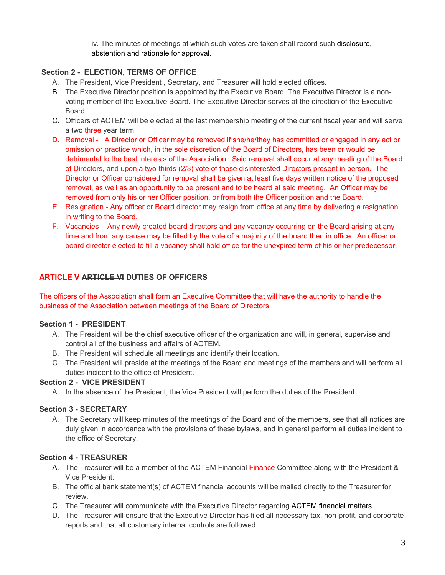iv. The minutes of meetings at which such votes are taken shall record such disclosure, abstention and rationale for approval.

## **Section 2 - ELECTION, TERMS OF OFFICE**

- A. The President, Vice President , Secretary, and Treasurer will hold elected offices.
- B. The Executive Director position is appointed by the Executive Board. The Executive Director is a nonvoting member of the Executive Board. The Executive Director serves at the direction of the Executive Board.
- C. Officers of ACTEM will be elected at the last membership meeting of the current fiscal year and will serve a two three year term.
- D. Removal A Director or Officer may be removed if she/he/they has committed or engaged in any act or omission or practice which, in the sole discretion of the Board of Directors, has been or would be detrimental to the best interests of the Association. Said removal shall occur at any meeting of the Board of Directors, and upon a two-thirds (2/3) vote of those disinterested Directors present in person. The Director or Officer considered for removal shall be given at least five days written notice of the proposed removal, as well as an opportunity to be present and to be heard at said meeting. An Officer may be removed from only his or her Officer position, or from both the Officer position and the Board.
- E. Resignation Any officer or Board director may resign from office at any time by delivering a resignation in writing to the Board.
- F. Vacancies Any newly created board directors and any vacancy occurring on the Board arising at any time and from any cause may be filled by the vote of a majority of the board then in office. An officer or board director elected to fill a vacancy shall hold office for the unexpired term of his or her predecessor.

## **ARTICLE V ARTICLE VI DUTIES OF OFFICERS**

The officers of the Association shall form an Executive Committee that will have the authority to handle the business of the Association between meetings of the Board of Directors.

## **Section 1 - PRESIDENT**

- A. The President will be the chief executive officer of the organization and will, in general, supervise and control all of the business and affairs of ACTEM.
- B. The President will schedule all meetings and identify their location.
- C. The President will preside at the meetings of the Board and meetings of the members and will perform all duties incident to the office of President.

## **Section 2 - VICE PRESIDENT**

A. In the absence of the President, the Vice President will perform the duties of the President.

#### **Section 3 - SECRETARY**

A. The Secretary will keep minutes of the meetings of the Board and of the members, see that all notices are duly given in accordance with the provisions of these bylaws, and in general perform all duties incident to the office of Secretary.

## **Section 4 - TREASURER**

- A. The Treasurer will be a member of the ACTEM Financial Finance Committee along with the President & Vice President.
- B. The official bank statement(s) of ACTEM financial accounts will be mailed directly to the Treasurer for review.
- C. The Treasurer will communicate with the Executive Director regarding ACTEM financial matters.
- D. The Treasurer will ensure that the Executive Director has filed all necessary tax, non-profit, and corporate reports and that all customary internal controls are followed.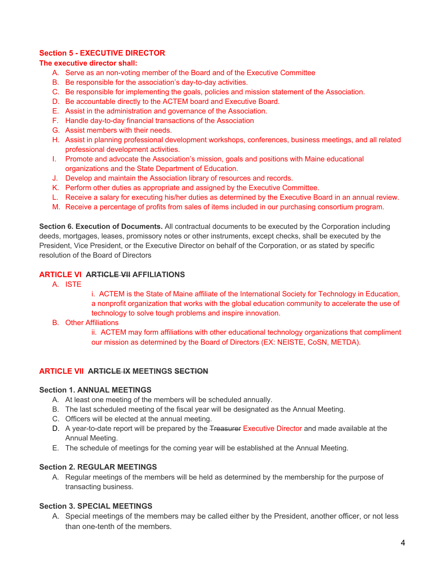## **Section 5 - EXECUTIVE DIRECTOR**

#### **The executive director shall:**

- A. Serve as an non-voting member of the Board and of the Executive Committee
- B. Be responsible for the association's day-to-day activities.
- C. Be responsible for implementing the goals, policies and mission statement of the Association.
- D. Be accountable directly to the ACTEM board and Executive Board.
- E. Assist in the administration and governance of the Association.
- F. Handle day-to-day financial transactions of the Association
- G. Assist members with their needs.
- H. Assist in planning professional development workshops, conferences, business meetings, and all related professional development activities.
- I. Promote and advocate the Association's mission, goals and positions with Maine educational organizations and the State Department of Education.
- J. Develop and maintain the Association library of resources and records.
- K. Perform other duties as appropriate and assigned by the Executive Committee.
- L. Receive a salary for executing his/her duties as determined by the Executive Board in an annual review.
- M. Receive a percentage of profits from sales of items included in our purchasing consortium program.

**Section 6. Execution of Documents.** All contractual documents to be executed by the Corporation including deeds, mortgages, leases, promissory notes or other instruments, except checks, shall be executed by the President, Vice President, or the Executive Director on behalf of the Corporation, or as stated by specific resolution of the Board of Directors

#### **ARTICLE VI ARTICLE VII AFFILIATIONS**

A. ISTE

i. ACTEM is the State of Maine affiliate of the International Society for Technology in Education, a nonprofit organization that works with the global education community to accelerate the use of technology to solve tough problems and inspire innovation.

B. Other Affiliations

ii. ACTEM may form affiliations with other educational technology organizations that compliment our mission as determined by the Board of Directors (EX: NEISTE, CoSN, METDA).

#### **ARTICLE VII ARTICLE IX MEETINGS SECTION**

#### **Section 1. ANNUAL MEETINGS**

- A. At least one meeting of the members will be scheduled annually.
- B. The last scheduled meeting of the fiscal year will be designated as the Annual Meeting.
- C. Officers will be elected at the annual meeting.
- D. A year-to-date report will be prepared by the Treasurer Executive Director and made available at the Annual Meeting.
- E. The schedule of meetings for the coming year will be established at the Annual Meeting.

#### **Section 2. REGULAR MEETINGS**

A. Regular meetings of the members will be held as determined by the membership for the purpose of transacting business.

#### **Section 3. SPECIAL MEETINGS**

A. Special meetings of the members may be called either by the President, another officer, or not less than one-tenth of the members.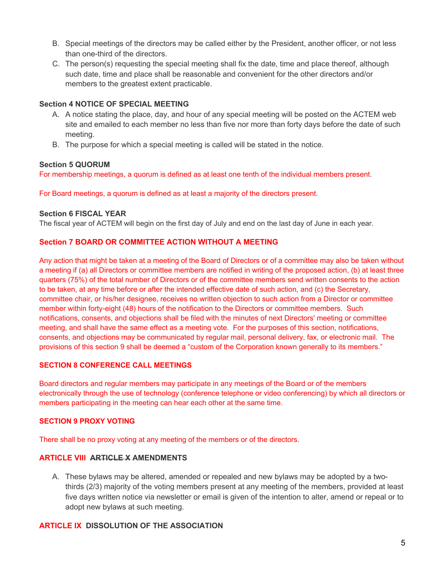- B. Special meetings of the directors may be called either by the President, another officer, or not less than one-third of the directors.
- C. The person(s) requesting the special meeting shall fix the date, time and place thereof, although such date, time and place shall be reasonable and convenient for the other directors and/or members to the greatest extent practicable.

## **Section 4 NOTICE OF SPECIAL MEETING**

- A. A notice stating the place, day, and hour of any special meeting will be posted on the ACTEM web site and emailed to each member no less than five nor more than forty days before the date of such meeting.
- B. The purpose for which a special meeting is called will be stated in the notice.

#### **Section 5 QUORUM**

For membership meetings, a quorum is defined as at least one tenth of the individual members present.

For Board meetings, a quorum is defined as at least a majority of the directors present.

#### **Section 6 FISCAL YEAR**

The fiscal year of ACTEM will begin on the first day of July and end on the last day of June in each year.

#### **Section 7 BOARD OR COMMITTEE ACTION WITHOUT A MEETING**

Any action that might be taken at a meeting of the Board of Directors or of a committee may also be taken without a meeting if (a) all Directors or committee members are notified in writing of the proposed action, (b) at least three quarters (75%) of the total number of Directors or of the committee members send written consents to the action to be taken, at any time before or after the intended effective date of such action, and (c) the Secretary, committee chair, or his/her designee, receives no written objection to such action from a Director or committee member within forty-eight (48) hours of the notification to the Directors or committee members. Such notifications, consents, and objections shall be filed with the minutes of next Directors' meeting or committee meeting, and shall have the same effect as a meeting vote. For the purposes of this section, notifications, consents, and objections may be communicated by regular mail, personal delivery, fax, or electronic mail. The provisions of this section 9 shall be deemed a "custom of the Corporation known generally to its members."

#### **SECTION 8 CONFERENCE CALL MEETINGS**

Board directors and regular members may participate in any meetings of the Board or of the members electronically through the use of technology (conference telephone or video conferencing) by which all directors or members participating in the meeting can hear each other at the same time.

#### **SECTION 9 PROXY VOTING**

There shall be no proxy voting at any meeting of the members or of the directors.

#### **ARTICLE VIII ARTICLE X AMENDMENTS**

A. These bylaws may be altered, amended or repealed and new bylaws may be adopted by a twothirds (2/3) majority of the voting members present at any meeting of the members, provided at least five days written notice via newsletter or email is given of the intention to alter, amend or repeal or to adopt new bylaws at such meeting.

#### **ARTICLE IX DISSOLUTION OF THE ASSOCIATION**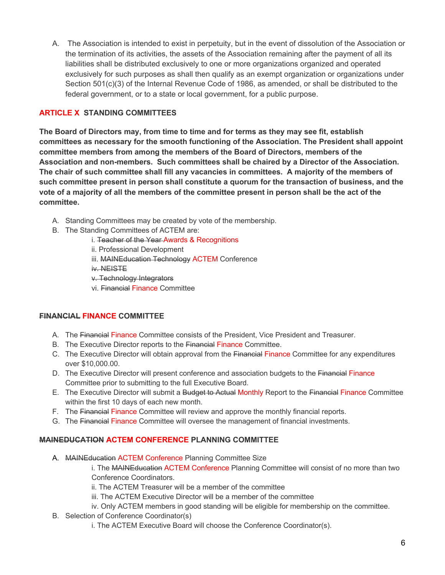A. The Association is intended to exist in perpetuity, but in the event of dissolution of the Association or the termination of its activities, the assets of the Association remaining after the payment of all its liabilities shall be distributed exclusively to one or more organizations organized and operated exclusively for such purposes as shall then qualify as an exempt organization or organizations under Section 501(c)(3) of the Internal Revenue Code of 1986, as amended, or shall be distributed to the federal government, or to a state or local government, for a public purpose.

## **ARTICLE X STANDING COMMITTEES**

**The Board of Directors may, from time to time and for terms as they may see fit, establish committees as necessary for the smooth functioning of the Association. The President shall appoint committee members from among the members of the Board of Directors, members of the Association and non-members. Such committees shall be chaired by a Director of the Association. The chair of such committee shall fill any vacancies in committees. A majority of the members of such committee present in person shall constitute a quorum for the transaction of business, and the vote of a majority of all the members of the committee present in person shall be the act of the committee.**

- A. Standing Committees may be created by vote of the membership.
- B. The Standing Committees of ACTEM are:
	- i. Teacher of the Year Awards & Recognitions
	- ii. Professional Development
	- iii. MAINEducation Technology ACTEM Conference

iv. NEISTE

- v. Technology Integrators
- vi. Financial Finance Committee

## **FINANCIAL FINANCE COMMITTEE**

- A. The Financial Finance Committee consists of the President, Vice President and Treasurer.
- B. The Executive Director reports to the Financial Finance Committee.
- C. The Executive Director will obtain approval from the Financial Finance Committee for any expenditures over \$10,000.00.
- D. The Executive Director will present conference and association budgets to the Financial Finance Committee prior to submitting to the full Executive Board.
- E. The Executive Director will submit a Budget to Actual Monthly Report to the Financial Finance Committee within the first 10 days of each new month.
- F. The Financial Finance Committee will review and approve the monthly financial reports.
- G. The Financial Finance Committee will oversee the management of financial investments.

## **MAINEDUCATION ACTEM CONFERENCE PLANNING COMMITTEE**

A. MAINEducation ACTEM Conference Planning Committee Size

i. The MAINEducation ACTEM Conference Planning Committee will consist of no more than two Conference Coordinators.

- ii. The ACTEM Treasurer will be a member of the committee
- iii. The ACTEM Executive Director will be a member of the committee
- iv. Only ACTEM members in good standing will be eligible for membership on the committee.
- B. Selection of Conference Coordinator(s)
	- i. The ACTEM Executive Board will choose the Conference Coordinator(s).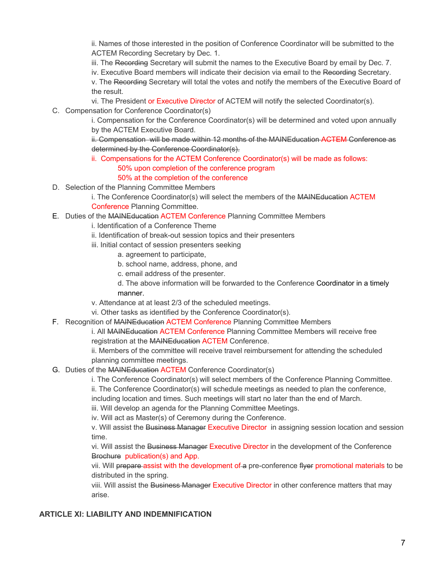ii. Names of those interested in the position of Conference Coordinator will be submitted to the ACTEM Recording Secretary by Dec. 1.

iii. The Recording Secretary will submit the names to the Executive Board by email by Dec. 7.

iv. Executive Board members will indicate their decision via email to the Recording Secretary.

v. The Recording Secretary will total the votes and notify the members of the Executive Board of the result.

- vi. The President or Executive Director of ACTEM will notify the selected Coordinator(s).
- C. Compensation for Conference Coordinator(s)

i. Compensation for the Conference Coordinator(s) will be determined and voted upon annually by the ACTEM Executive Board.

ii. Compensation will be made within 12 months of the MAINEducation ACTEM Conference as determined by the Conference Coordinator(s).

- ii. Compensations for the ACTEM Conference Coordinator(s) will be made as follows: 50% upon completion of the conference program 50% at the completion of the conference
- D. Selection of the Planning Committee Members

- E. Duties of the MAINEducation ACTEM Conference Planning Committee Members
	- i. Identification of a Conference Theme
	- ii. Identification of break-out session topics and their presenters
	- iii. Initial contact of session presenters seeking
		- a. agreement to participate,
		- b. school name, address, phone, and
		- c. email address of the presenter.
		- d. The above information will be forwarded to the Conference Coordinator in a timely manner.
	- v. Attendance at at least 2/3 of the scheduled meetings.
	- vi. Other tasks as identified by the Conference Coordinator(s).
- F. Recognition of MAINEducation ACTEM Conference Planning Committee Members

i. All MAINEducation ACTEM Conference Planning Committee Members will receive free registration at the MAINEducation ACTEM Conference.

ii. Members of the committee will receive travel reimbursement for attending the scheduled planning committee meetings.

G. Duties of the MAINEducation ACTEM Conference Coordinator(s)

i. The Conference Coordinator(s) will select members of the Conference Planning Committee.

ii. The Conference Coordinator(s) will schedule meetings as needed to plan the conference,

- including location and times. Such meetings will start no later than the end of March.
- iii. Will develop an agenda for the Planning Committee Meetings.
- iv. Will act as Master(s) of Ceremony during the Conference.

v. Will assist the Business Manager Executive Director in assigning session location and session time.

vi. Will assist the Business Manager Executive Director in the development of the Conference Brochure publication(s) and App.

vii. Will prepare assist with the development of a pre-conference flyer promotional materials to be distributed in the spring.

viii. Will assist the Business Manager Executive Director in other conference matters that may arise.

#### **ARTICLE XI: LIABILITY AND INDEMNIFICATION**

i. The Conference Coordinator(s) will select the members of the MAINEducation ACTEM Conference Planning Committee.